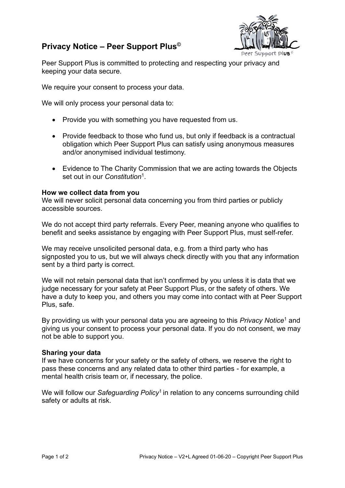## **Privacy Notice – Peer Support Plus©**



Peer Support Plus is committed to protecting and respecting your privacy and keeping your data secure.

We require your consent to process your data.

We will only process your personal data to:

- Provide you with something you have requested from us.
- Provide feedback to those who fund us, but only if feedback is a contractual obligation which Peer Support Plus can satisfy using anonymous measures and/or anonymised individual testimony.
- Evidence to The Charity Commission that we are acting towards the Objects set out in our *Constitution*<sup>1</sup> .

## **How we collect data from you**

We will never solicit personal data concerning you from third parties or publicly accessible sources.

We do not accept third party referrals. Every Peer, meaning anyone who qualifies to benefit and seeks assistance by engaging with Peer Support Plus, must self-refer.

We may receive unsolicited personal data, e.g. from a third party who has signposted you to us, but we will always check directly with you that any information sent by a third party is correct.

We will not retain personal data that isn't confirmed by you unless it is data that we judge necessary for your safety at Peer Support Plus, or the safety of others. We have a duty to keep you, and others you may come into contact with at Peer Support Plus, safe.

By providing us with your personal data you are agreeing to this *Privacy Notice*<sup>1</sup> and giving us your consent to process your personal data. If you do not consent, we may not be able to support you.

## **Sharing your data**

If we have concerns for your safety or the safety of others, we reserve the right to pass these concerns and any related data to other third parties - for example, a mental health crisis team or, if necessary, the police.

We will follow our Safeguarding Policy<sup>1</sup> in relation to any concerns surrounding child safety or adults at risk.